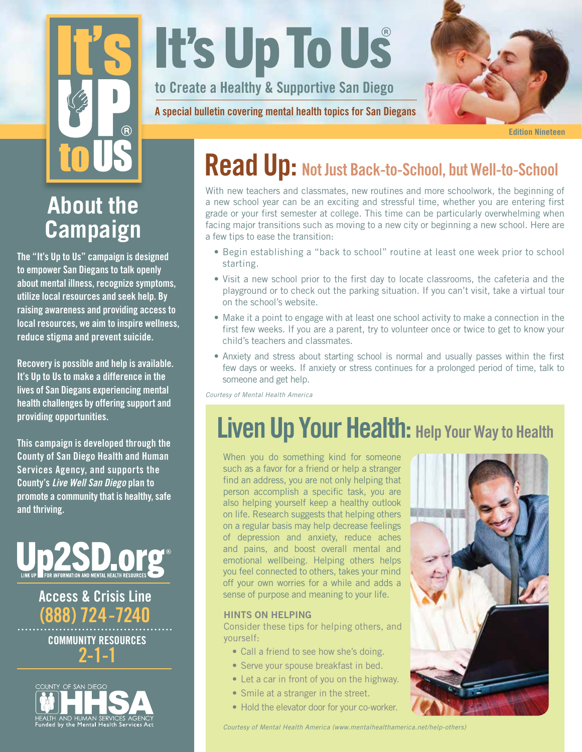# $\mathbf{\widehat{R}}$

# **It's Up To Us**

to Create a Healthy & Supportive San Diego

A special bulletin covering mental health topics for San Diegans



Edition Nineteen

# **About the Campaign**

The "It's Up to Us" campaign is designed to empower San Diegans to talk openly about mental illness, recognize symptoms, utilize local resources and seek help. By raising awareness and providing access to local resources, we aim to inspire wellness, reduce stigma and prevent suicide.

Recovery is possible and help is available. It's Up to Us to make a difference in the lives of San Diegans experiencing mental health challenges by offering support and providing opportunities.

This campaign is developed through the County of San Diego Health and Human Services Agency, and supports the County's *Live Well San Diego* plan to promote a community that is healthy, safe and thriving.



# Access & Crisis Line (888) 724-7240

COMMUNITY RESOURCES 2-1-1



# Read Up: Not Just Back-to-School, but Well-to-School

With new teachers and classmates, new routines and more schoolwork, the beginning of a new school year can be an exciting and stressful time, whether you are entering first grade or your first semester at college. This time can be particularly overwhelming when facing major transitions such as moving to a new city or beginning a new school. Here are a few tips to ease the transition:

- Begin establishing a "back to school" routine at least one week prior to school starting.
- Visit a new school prior to the first day to locate classrooms, the cafeteria and the playground or to check out the parking situation. If you can't visit, take a virtual tour on the school's website.
- Make it a point to engage with at least one school activity to make a connection in the first few weeks. If you are a parent, try to volunteer once or twice to get to know your child's teachers and classmates.
- Anxiety and stress about starting school is normal and usually passes within the first few days or weeks. If anxiety or stress continues for a prolonged period of time, talk to someone and get help.

*Courtesy of Mental Health America*

# Liven Up Your Health: Help Your Way to Health

When you do something kind for someone such as a favor for a friend or help a stranger find an address, you are not only helping that person accomplish a specific task, you are also helping yourself keep a healthy outlook on life. Research suggests that helping others on a regular basis may help decrease feelings of depression and anxiety, reduce aches and pains, and boost overall mental and emotional wellbeing. Helping others helps you feel connected to others, takes your mind off your own worries for a while and adds a sense of purpose and meaning to your life.

### HINTS ON HELPING

Consider these tips for helping others, and yourself:

- Call a friend to see how she's doing.
- Serve your spouse breakfast in bed.
- Let a car in front of you on the highway.
- Smile at a stranger in the street.
- Hold the elevator door for your co-worker.



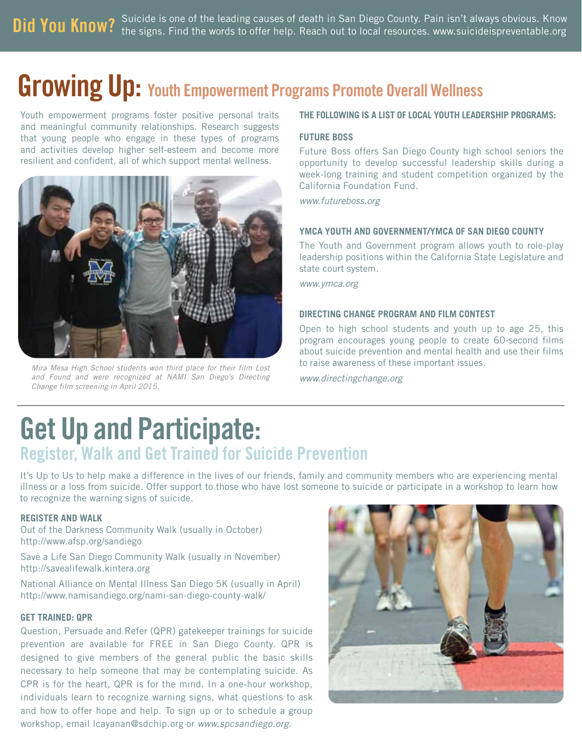Did You Know? Suicide is one of the leading causes of death in San Diego County. Pain isn't always obvious. Know<br>Did You Know? the signs, Find the words to offer help. Reach out to local resources, www.suicideispreventable the signs. Find the words to offer help. Reach out to local resources. www.suicideispreventable.org

# Growing Up: Youth Empowerment Programs Promote Overall Wellness

Youth empowerment programs foster positive personal traits and meaningful community relationships. Research suggests that young people who engage in these types of programs and activities develop higher self-esteem and become more resilient and confident, all of which support mental wellness.



*Mira Mesa High School students won third place for their film Lost and Found and were recognized at NAMI San Diego's Directing Change film screening in April 2015.*

### **THE FOLLOWING IS A LIST OF LOCAL YOUTH LEADERSHIP PROGRAMS:**

### **FUTURE BOSS**

Future Boss offers San Diego County high school seniors the opportunity to develop successful leadership skills during a week-long training and student competition organized by the California Foundation Fund.

*www.futureboss.org* 

### **YMCA YOUTH AND GOVERNMENT/YMCA OF SAN DIEGO COUNTY**

The Youth and Government program allows youth to role-play leadership positions within the California State Legislature and state court system.

*www.ymca.org*

### **DIRECTING CHANGE PROGRAM AND FILM CONTEST**

Open to high school students and youth up to age 25, this program encourages young people to create 60-second films about suicide prevention and mental health and use their films to raise awareness of these important issues.

*www.directingchange.org*

# Get Up and Participate: Register, Walk and Get Trained for Suicide Prevention

It's Up to Us to help make a difference in the lives of our friends, family and community members who are experiencing mental illness or a loss from suicide. Offer support to those who have lost someone to suicide or participate in a workshop to learn how to recognize the warning signs of suicide.

### **REGISTER AND WALK**

Out of the Darkness Community Walk (usually in October) http://www.afsp.org/sandiego

Save a Life San Diego Community Walk (usually in November) http://savealifewalk.kintera.org

National Alliance on Mental Illness San Diego 5K (usually in April) http://www.namisandiego.org/nami-san-diego-county-walk/

### **GET TRAINED: QPR**

Question, Persuade and Refer (QPR) gatekeeper trainings for suicide prevention are available for FREE in San Diego County. QPR is designed to give members of the general public the basic skills necessary to help someone that may be contemplating suicide. As CPR is for the heart, QPR is for the mind. In a one-hour workshop, individuals learn to recognize warning signs, what questions to ask and how to offer hope and help. To sign up or to schedule a group workshop, email lcayanan@sdchip.org or *www.spcsandiego.org*.

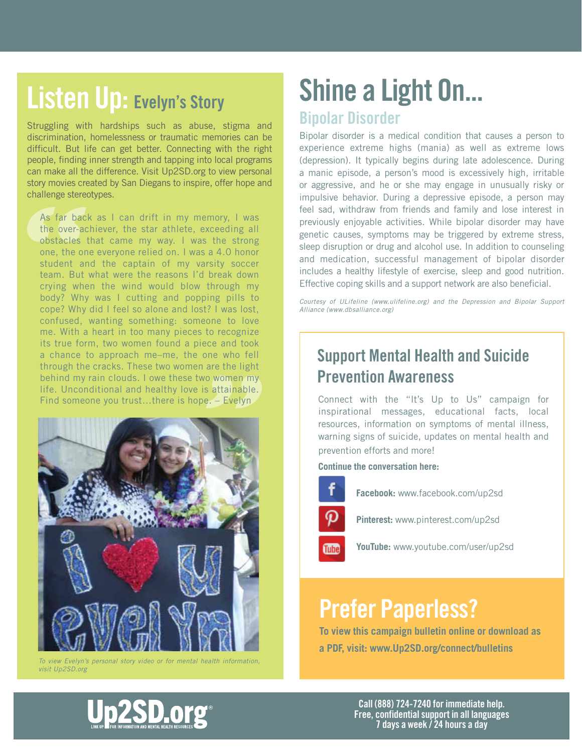# Listen Up: Evelyn's Story

Struggling with hardships such as abuse, stigma and discrimination, homelessness or traumatic memories can be difficult. But life can get better. Connecting with the right people, finding inner strength and tapping into local programs can make all the difference. Visit Up2SD.org to view personal story movies created by San Diegans to inspire, offer hope and challenge stereotypes.

As far back as I can drift in my memory, I was the over-achiever, the star athlete, exceeding all obstacles that came my way. I was the strong one, the one everyone relied on. I was a 4.0 honor student and the captain of my varsity soccer team. But what were the reasons I'd break down crying when the wind would blow through my body? Why was I cutting and popping pills to cope? Why did I feel so alone and lost? I was lost, confused, wanting something: someone to love me. With a heart in too many pieces to recognize its true form, two women found a piece and took a chance to approach me–me, the one who fell through the cracks. These two women are the light behind my rain clouds. I owe these two women my life. Unconditional and healthy love is attainable. Find someone you trust…there is hope. – Evelyn



*To view Evelyn's personal story video or for mental health information, visit Up2SD.org*

# Shine a Light On...

### Bipolar Disorder

Bipolar disorder is a medical condition that causes a person to experience extreme highs (mania) as well as extreme lows (depression). It typically begins during late adolescence. During a manic episode, a person's mood is excessively high, irritable or aggressive, and he or she may engage in unusually risky or impulsive behavior. During a depressive episode, a person may feel sad, withdraw from friends and family and lose interest in previously enjoyable activities. While bipolar disorder may have genetic causes, symptoms may be triggered by extreme stress, sleep disruption or drug and alcohol use. In addition to counseling and medication, successful management of bipolar disorder includes a healthy lifestyle of exercise, sleep and good nutrition. Effective coping skills and a support network are also beneficial.

*Courtesy of ULifeline (www.ulifeline.org) and the Depression and Bipolar Support Alliance (www.dbsalliance.org)*

## Support Mental Health and Suicide Prevention Awareness

Connect with the "It's Up to Us" campaign for inspirational messages, educational facts, local resources, information on symptoms of mental illness, warning signs of suicide, updates on mental health and prevention efforts and more!

**Continue the conversation here:**



**Facebook:** www.facebook.com/up2sd



**Pinterest:** www.pinterest.com/up2sd

**YouTube:** www.youtube.com/user/up2sd

# Prefer Paperless?

**To view this campaign bulletin online or download as a PDF, visit: www.Up2SD.org/connect/bulletins**